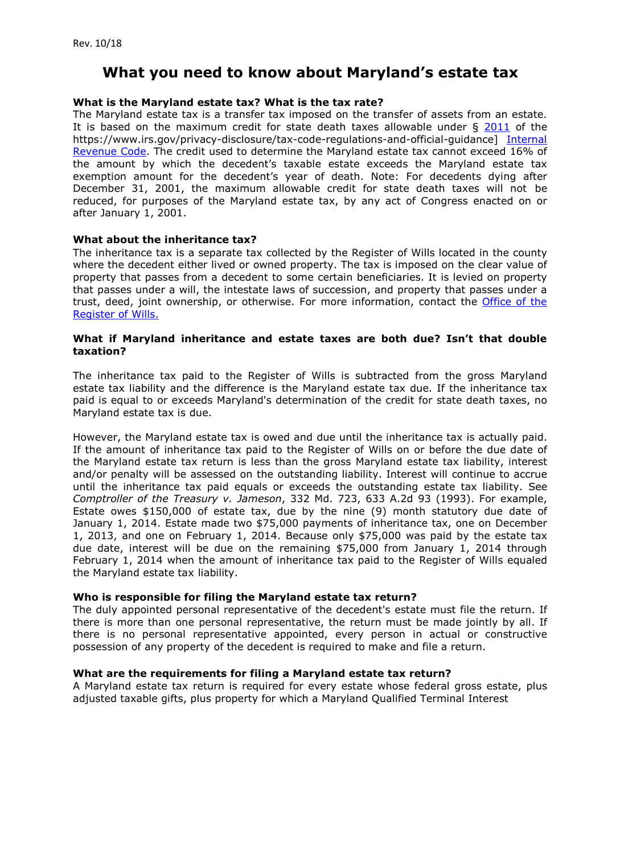# **What you need to know about Maryland's estate tax**

# **What is the Maryland estate tax? What is the tax rate?**

The Maryland estate tax is a transfer tax imposed on the transfer of assets from an estate. It is based on the maximum credit for state death taxes allowable under  $\S$  [2011](https://www.law.cornell.edu/cfr/text/26/20.2011-1) of the https://www.irs.gov/privacy-disclosure/tax-code-regulations-and-official-guidance] [Internal](http://www.irs.gov/Tax-Professionals/Tax-Code%2C-Regulations-and-Official-Guidance)  [Revenue Code.](http://www.irs.gov/Tax-Professionals/Tax-Code%2C-Regulations-and-Official-Guidance) The credit used to determine the Maryland estate tax cannot exceed 16% of the amount by which the decedent's taxable estate exceeds the Maryland estate tax exemption amount for the decedent's year of death. Note: For decedents dying after December 31, 2001, the maximum allowable credit for state death taxes will not be reduced, for purposes of the Maryland estate tax, by any act of Congress enacted on or after January 1, 2001.

## **What about the inheritance tax?**

The inheritance tax is a separate tax collected by the Register of Wills located in the county where the decedent either lived or owned property. The tax is imposed on the clear value of property that passes from a decedent to some certain beneficiaries. It is levied on property that passes under a will, the intestate laws of succession, and property that passes under a trust, deed, joint ownership, or otherwise. For more information, contact the [Office of the](http://registers.maryland.gov/main/home.html) [Register of Wills.](http://registers.maryland.gov/main/home.html)

## **What if Maryland inheritance and estate taxes are both due? Isn't that double taxation?**

The inheritance tax paid to the Register of Wills is subtracted from the gross Maryland estate tax liability and the difference is the Maryland estate tax due. If the inheritance tax paid is equal to or exceeds Maryland's determination of the credit for state death taxes, no Maryland estate tax is due.

However, the Maryland estate tax is owed and due until the inheritance tax is actually paid. If the amount of inheritance tax paid to the Register of Wills on or before the due date of the Maryland estate tax return is less than the gross Maryland estate tax liability, interest and/or penalty will be assessed on the outstanding liability. Interest will continue to accrue until the inheritance tax paid equals or exceeds the outstanding estate tax liability. See *Comptroller of the Treasury v. Jameson*, 332 Md. 723, 633 A.2d 93 (1993). For example, Estate owes \$150,000 of estate tax, due by the nine (9) month statutory due date of January 1, 2014. Estate made two \$75,000 payments of inheritance tax, one on December 1, 2013, and one on February 1, 2014. Because only \$75,000 was paid by the estate tax due date, interest will be due on the remaining \$75,000 from January 1, 2014 through February 1, 2014 when the amount of inheritance tax paid to the Register of Wills equaled the Maryland estate tax liability.

## **Who is responsible for filing the Maryland estate tax return?**

The duly appointed personal representative of the decedent's estate must file the return. If there is more than one personal representative, the return must be made jointly by all. If there is no personal representative appointed, every person in actual or constructive possession of any property of the decedent is required to make and file a return.

## **What are the requirements for filing a Maryland estate tax return?**

A Maryland estate tax return is required for every estate whose federal gross estate, plus adjusted taxable gifts, plus property for which a Maryland Qualified Terminal Interest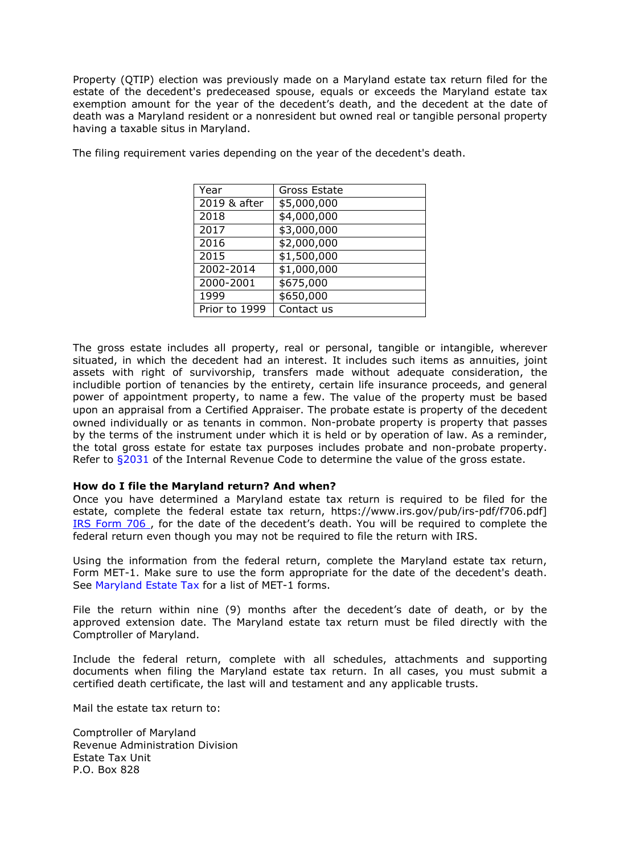Property (QTIP) election was previously made on a Maryland estate tax return filed for the estate of the decedent's predeceased spouse, equals or exceeds the Maryland estate tax exemption amount for the year of the decedent's death, and the decedent at the date of death was a Maryland resident or a nonresident but owned real or tangible personal property having a taxable situs in Maryland.

| Year          | Gross Estate |
|---------------|--------------|
| 2019 & after  | \$5,000,000  |
| 2018          | \$4,000,000  |
| 2017          | \$3,000,000  |
| 2016          | \$2,000,000  |
| 2015          | \$1,500,000  |
| 2002-2014     | \$1,000,000  |
| 2000-2001     | \$675,000    |
| 1999          | \$650,000    |
| Prior to 1999 | Contact us   |

The filing requirement varies depending on the year of the decedent's death.

The gross estate includes all property, real or personal, tangible or intangible, wherever situated, in which the decedent had an interest. It includes such items as annuities, joint assets with right of survivorship, transfers made without adequate consideration, the includible portion of tenancies by the entirety, certain life insurance proceeds, and general power of appointment property, to name a few. The value of the property must be based upon an appraisal from a Certified Appraiser. The probate estate is property of the decedent owned individually or as tenants in common. Non-probate property is property that passes by the terms of the instrument under which it is held or by operation of law. As a reminder, the total gross estate for estate tax purposes includes probate and non-probate property. Refer to [§2031 o](http://www.gpo.gov/fdsys/pkg/USCODE-2011-title26/pdf/USCODE-2011-title26-subtitleB-chap11-subchapA-partIII-sec2031.pdf)f the Internal Revenue Code to determine the value of the gross estate.

#### **How do I file the Maryland return? And when?**

Once you have determined a Maryland estate tax return is required to be filed for the estate, complete the federal estate tax return, https://www.irs.gov/pub/irs-pdf/f706.pdf] [IRS Form 706](http://apps.irs.gov/app/picklist/list/priorFormPublication.html?sortColumn=currentYearRevDate&indexOfFirstRow=0&value=United%2BStates%2BEstate%2B%28and%2BGene&criteria=title&resultsPerPage=25&isDescending=true) , for the date of the decedent's death. You will be required to complete the federal return even though you may not be required to file the return with IRS.

Using the information from the federal return, complete the Maryland estate tax return, Form MET-1. Make sure to use the form appropriate for the date of the decedent's death. See [Maryland Estate Tax f](http://taxes.marylandtaxes.com/Individual_Taxes/Individual_Tax_Types/Estate_and_Inheritance_Tax/)or a list of MET-1 forms.

File the return within nine (9) months after the decedent's date of death, or by the approved extension date. The Maryland estate tax return must be filed directly with the Comptroller of Maryland.

Include the federal return, complete with all schedules, attachments and supporting documents when filing the Maryland estate tax return. In all cases, you must submit a certified death certificate, the last will and testament and any applicable trusts.

Mail the estate tax return to:

Comptroller of Maryland Revenue Administration Division Estate Tax Unit P.O. Box 828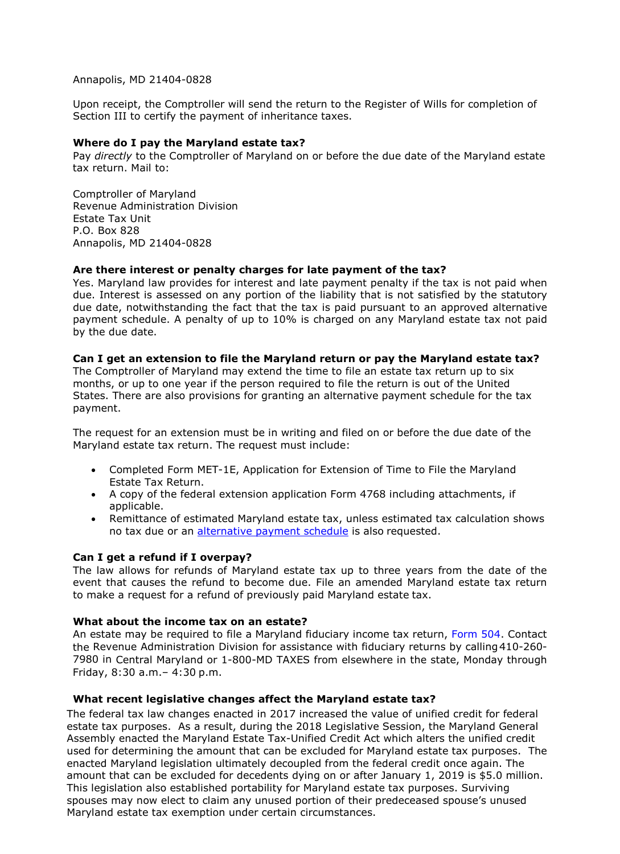Annapolis, MD 21404-0828

Upon receipt, the Comptroller will send the return to the Register of Wills for completion of Section III to certify the payment of inheritance taxes.

## **Where do I pay the Maryland estate tax?**

Pay *directly* to the Comptroller of Maryland on or before the due date of the Maryland estate tax return. Mail to:

Comptroller of Maryland Revenue Administration Division Estate Tax Unit P.O. Box 828 Annapolis, MD 21404-0828

#### **Are there interest or penalty charges for late payment of the tax?**

Yes. Maryland law provides for interest and late payment penalty if the tax is not paid when due. Interest is assessed on any portion of the liability that is not satisfied by the statutory due date, notwithstanding the fact that the tax is paid pursuant to an approved alternative payment schedule. A penalty of up to 10% is charged on any Maryland estate tax not paid by the due date.

#### **Can I get an extension to file the Maryland return or pay the Maryland estate tax?**

The Comptroller of Maryland may extend the time to file an estate tax return up to six months, or up to one year if the person required to file the return is out of the United States. There are also provisions for granting an alternative payment schedule for the tax payment.

The request for an extension must be in writing and filed on or before the due date of the Maryland estate tax return. The request must include:

- Completed Form MET-1E, Application for Extension of Time to File the Maryland Estate Tax Return.
- A copy of the federal extension application Form 4768 including attachments, if applicable.
- Remittance of estimated Maryland estate tax, unless estimated tax calculation shows no tax due or an [alternative payment schedule](http://taxes.marylandtaxes.com/Individual_Taxes/Individual_Tax_Types/Estate_and_Inheritance_Tax/Payment_Information/default.shtml) is also requested.

## **Can I get a refund if I overpay?**

The law allows for refunds of Maryland estate tax up to three years from the date of the event that causes the refund to become due. File an amended Maryland estate tax return to make a request for a refund of previously paid Maryland estate tax.

#### **What about the income tax on an estate?**

An estate may be required to file a Maryland fiduciary income tax return, [Form 504.](http://forms.marylandtaxes.com/current_forms/504.pdf) Contact the Revenue Administration Division for assistance with fiduciary returns by calling410-260- 7980 in Central Maryland or 1-800-MD TAXES from elsewhere in the state, Monday through Friday, 8:30 a.m.– 4:30 p.m.

#### **What recent legislative changes affect the Maryland estate tax?**

The federal tax law changes enacted in 2017 increased the value of unified credit for federal estate tax purposes. As a result, during the 2018 Legislative Session, the Maryland General Assembly enacted the Maryland Estate Tax-Unified Credit Act which alters the unified credit used for determining the amount that can be excluded for Maryland estate tax purposes. The enacted Maryland legislation ultimately decoupled from the federal credit once again. The amount that can be excluded for decedents dying on or after January 1, 2019 is \$5.0 million. This legislation also established portability for Maryland estate tax purposes. Surviving spouses may now elect to claim any unused portion of their predeceased spouse's unused Maryland estate tax exemption under certain circumstances.